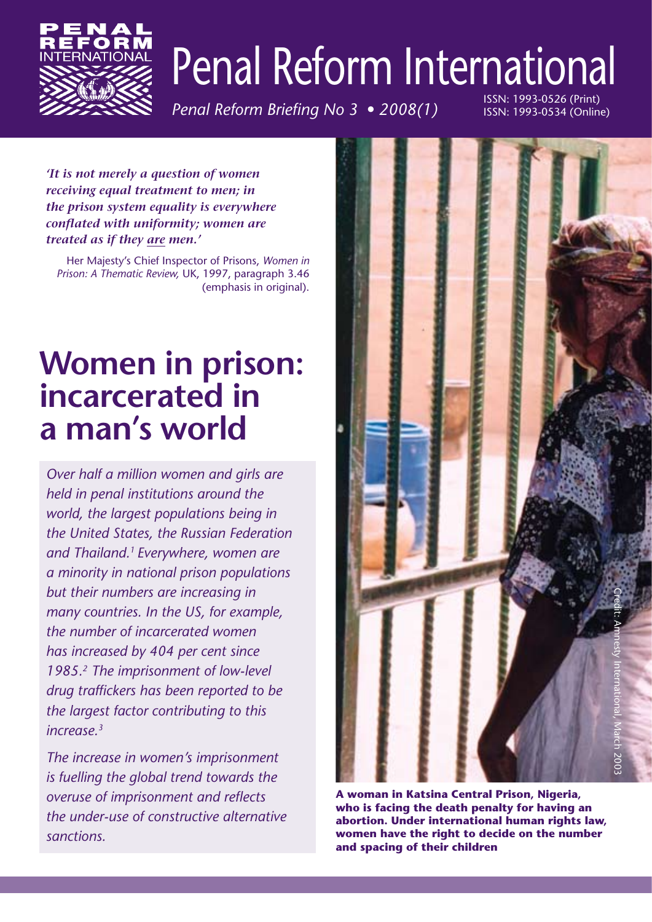

# Penal Reform International

*Penal Reform Briefing No 3 • 2008(1)*

ISSN: 1993-0526 (Print) ISSN: 1993-0534 (Online)

*'It is not merely a question of women receiving equal treatment to men; in the prison system equality is everywhere conflated with uniformity; women are treated as if they are men.'* 

Her Majesty's Chief Inspector of Prisons, *Women in Prison: A Thematic Review,* UK, 1997, paragraph 3.46 (emphasis in original).

# **Women in prison: incarcerated in a man's world**

*Over half a million women and girls are held in penal institutions around the world, the largest populations being in the United States, the Russian Federation and Thailand.1 Everywhere, women are a minority in national prison populations but their numbers are increasing in many countries. In the US, for example, the number of incarcerated women has increased by 404 per cent since 1985.2 The imprisonment of low-level drug traffickers has been reported to be the largest factor contributing to this increase.3*

*The increase in women's imprisonment is fuelling the global trend towards the overuse of imprisonment and reflects the under-use of constructive alternative sanctions.* 



**A woman in Katsina Central Prison, Nigeria, who is facing the death penalty for having an abortion. Under international human rights law, women have the right to decide on the number and spacing of their children**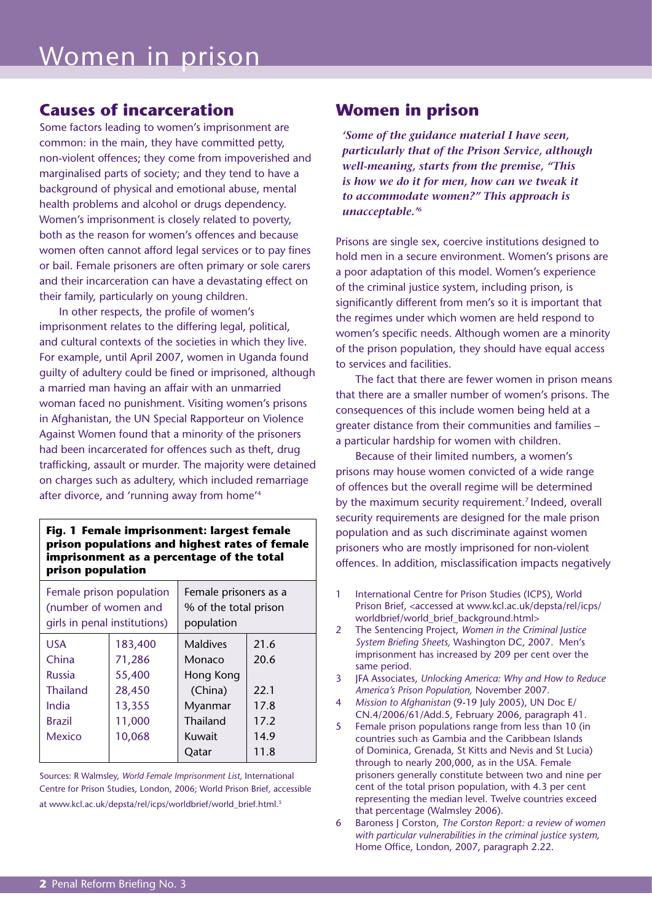### **Causes of incarceration**

Some factors leading to women's imprisonment are common: in the main, they have committed petty, non-violent offences; they come from impoverished and marginalised parts of society; and they tend to have a background of physical and emotional abuse, mental health problems and alcohol or drugs dependency. Women's imprisonment is closely related to poverty, both as the reason for women's offences and because women often cannot afford legal services or to pay fines or bail. Female prisoners are often primary or sole carers and their incarceration can have a devastating effect on their family, particularly on young children.

In other respects, the profile of women's imprisonment relates to the differing legal, political, and cultural contexts of the societies in which they live. For example, until April 2007, women in Uganda found guilty of adultery could be fined or imprisoned, although a married man having an affair with an unmarried woman faced no punishment. Visiting women's prisons in Afghanistan, the UN Special Rapporteur on Violence Against Women found that a minority of the prisoners had been incarcerated for offences such as theft, drug trafficking, assault or murder. The majority were detained on charges such as adultery, which included remarriage after divorce, and 'running away from home'4

#### **Fig. 1 Female imprisonment: largest female prison populations and highest rates of female imprisonment as a percentage of the total prison population**

| Female prison population<br>(number of women and<br>girls in penal institutions) |         | Female prisoners as a<br>% of the total prison<br>population |      |
|----------------------------------------------------------------------------------|---------|--------------------------------------------------------------|------|
| <b>USA</b>                                                                       | 183,400 | <b>Maldives</b>                                              | 21.6 |
| China                                                                            | 71,286  | Monaco                                                       | 20.6 |
| <b>Russia</b>                                                                    | 55,400  | Hong Kong                                                    |      |
| <b>Thailand</b>                                                                  | 28,450  | (China)                                                      | 22.1 |
| India                                                                            | 13,355  | Myanmar                                                      | 17.8 |
| <b>Brazil</b>                                                                    | 11,000  | Thailand                                                     | 17.2 |
| Mexico                                                                           | 10,068  | <b>Kuwait</b>                                                | 14.9 |
|                                                                                  |         | Qatar                                                        | 11.8 |

Sources: R Walmsley, *World Female Imprisonment List,* International Centre for Prison Studies, London, 2006; World Prison Brief, accessible at www.kcl.ac.uk/depsta/rel/icps/worldbrief/world\_brief.html. 5

### **Women in prison**

*'Some of the guidance material I have seen, particularly that of the Prison Service, although well-meaning, starts from the premise, "This is how we do it for men, how can we tweak it to accommodate women?" This approach is unacceptable.'6*

Prisons are single sex, coercive institutions designed to hold men in a secure environment. Women's prisons are a poor adaptation of this model. Women's experience of the criminal justice system, including prison, is significantly different from men's so it is important that the regimes under which women are held respond to women's specific needs. Although women are a minority of the prison population, they should have equal access to services and facilities.

The fact that there are fewer women in prison means that there are a smaller number of women's prisons. The consequences of this include women being held at a greater distance from their communities and families – a particular hardship for women with children.

Because of their limited numbers, a women's prisons may house women convicted of a wide range of offences but the overall regime will be determined by the maximum security requirement.<sup>7</sup> Indeed, overall security requirements are designed for the male prison population and as such discriminate against women prisoners who are mostly imprisoned for non-violent offences. In addition, misclassification impacts negatively

- 1 International Centre for Prison Studies (ICPS), World Prison Brief, <accessed at www.kcl.ac.uk/depsta/rel/icps/ worldbrief/world\_brief\_background.html>
- 2 The Sentencing Project, *Women in the Criminal Justice System Briefing Sheets,* Washington DC, 2007. Men's imprisonment has increased by 209 per cent over the same period.
- 3 JFA Associates, *Unlocking America: Why and How to Reduce America's Prison Population,* November 2007.
- 4 *Mission to Afghanistan* (9-19 July 2005), UN Doc E/ CN.4/2006/61/Add.5, February 2006, paragraph 41.
- 5 Female prison populations range from less than 10 (in countries such as Gambia and the Caribbean Islands of Dominica, Grenada, St Kitts and Nevis and St Lucia) through to nearly 200,000, as in the USA. Female prisoners generally constitute between two and nine per cent of the total prison population, with 4.3 per cent representing the median level. Twelve countries exceed that percentage (Walmsley 2006).
- 6 Baroness J Corston, *The Corston Report: a review of women with particular vulnerabilities in the criminal justice system,*  Home Office, London, 2007, paragraph 2.22.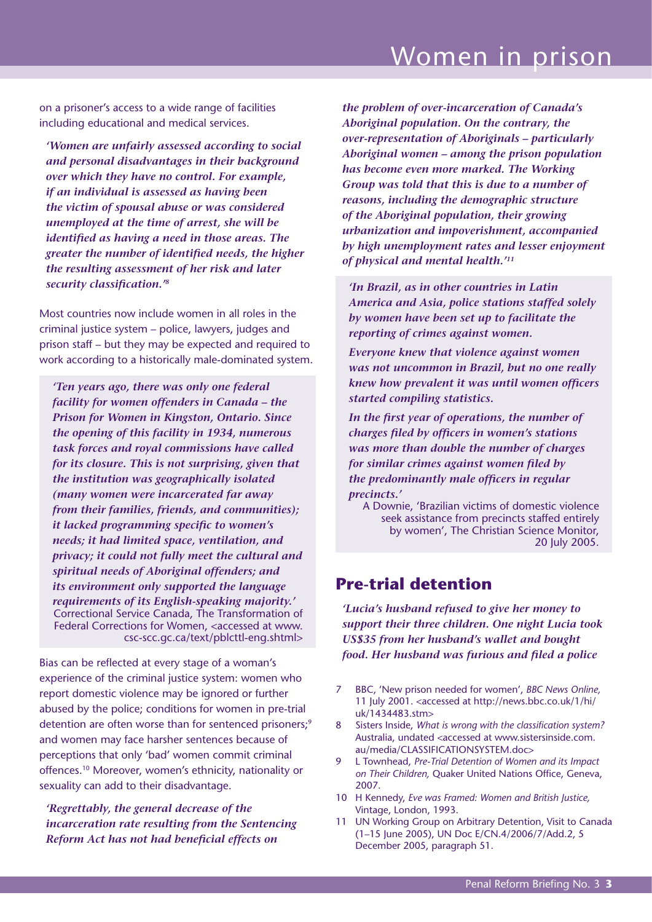on a prisoner's access to a wide range of facilities including educational and medical services.

*'Women are unfairly assessed according to social and personal disadvantages in their background over which they have no control. For example, if an individual is assessed as having been the victim of spousal abuse or was considered unemployed at the time of arrest, she will be identified as having a need in those areas. The greater the number of identified needs, the higher the resulting assessment of her risk and later security classification.'8*

Most countries now include women in all roles in the criminal justice system – police, lawyers, judges and prison staff – but they may be expected and required to work according to a historically male-dominated system.

*'Ten years ago, there was only one federal facility for women offenders in Canada – the Prison for Women in Kingston, Ontario. Since the opening of this facility in 1934, numerous task forces and royal commissions have called for its closure. This is not surprising, given that the institution was geographically isolated (many women were incarcerated far away from their families, friends, and communities); it lacked programming specific to women's needs; it had limited space, ventilation, and privacy; it could not fully meet the cultural and spiritual needs of Aboriginal offenders; and its environment only supported the language requirements of its English-speaking majority.'* Correctional Service Canada, The Transformation of Federal Corrections for Women, <accessed at www. csc-scc.gc.ca/text/pblcttl-eng.shtml>

Bias can be reflected at every stage of a woman's experience of the criminal justice system: women who report domestic violence may be ignored or further abused by the police; conditions for women in pre-trial detention are often worse than for sentenced prisoners;<sup>9</sup> and women may face harsher sentences because of perceptions that only 'bad' women commit criminal offences.10 Moreover, women's ethnicity, nationality or sexuality can add to their disadvantage.

*'Regrettably, the general decrease of the incarceration rate resulting from the Sentencing Reform Act has not had beneficial effects on* 

*the problem of over-incarceration of Canada's Aboriginal population. On the contrary, the over-representation of Aboriginals – particularly Aboriginal women – among the prison population has become even more marked. The Working Group was told that this is due to a number of reasons, including the demographic structure of the Aboriginal population, their growing urbanization and impoverishment, accompanied by high unemployment rates and lesser enjoyment of physical and mental health.'11*

*'In Brazil, as in other countries in Latin America and Asia, police stations staffed solely by women have been set up to facilitate the reporting of crimes against women.*

*Everyone knew that violence against women was not uncommon in Brazil, but no one really knew how prevalent it was until women officers started compiling statistics.*

*In the first year of operations, the number of charges filed by officers in women's stations was more than double the number of charges for similar crimes against women filed by the predominantly male officers in regular precincts.'*

A Downie, 'Brazilian victims of domestic violence seek assistance from precincts staffed entirely by women', The Christian Science Monitor, 20 July 2005.

### **Pre-trial detention**

*'Lucia's husband refused to give her money to support their three children. One night Lucia took US\$35 from her husband's wallet and bought food. Her husband was furious and filed a police* 

- 7 BBC, 'New prison needed for women', *BBC News Online,* 11 July 2001. <accessed at http://news.bbc.co.uk/1/hi/ uk/1434483.stm>
- 8 Sisters Inside, *What is wrong with the classification system?* Australia, undated <accessed at www.sistersinside.com. au/media/CLASSIFICATIONSYSTEM.doc>
- 9 L Townhead, *Pre-Trial Detention of Women and its Impact on Their Children,* Quaker United Nations Office, Geneva, 2007.
- 10 H Kennedy, *Eve was Framed: Women and British Justice,*  Vintage, London, 1993.
- 11 UN Working Group on Arbitrary Detention, Visit to Canada (1–15 June 2005), UN Doc E/CN.4/2006/7/Add.2, 5 December 2005, paragraph 51.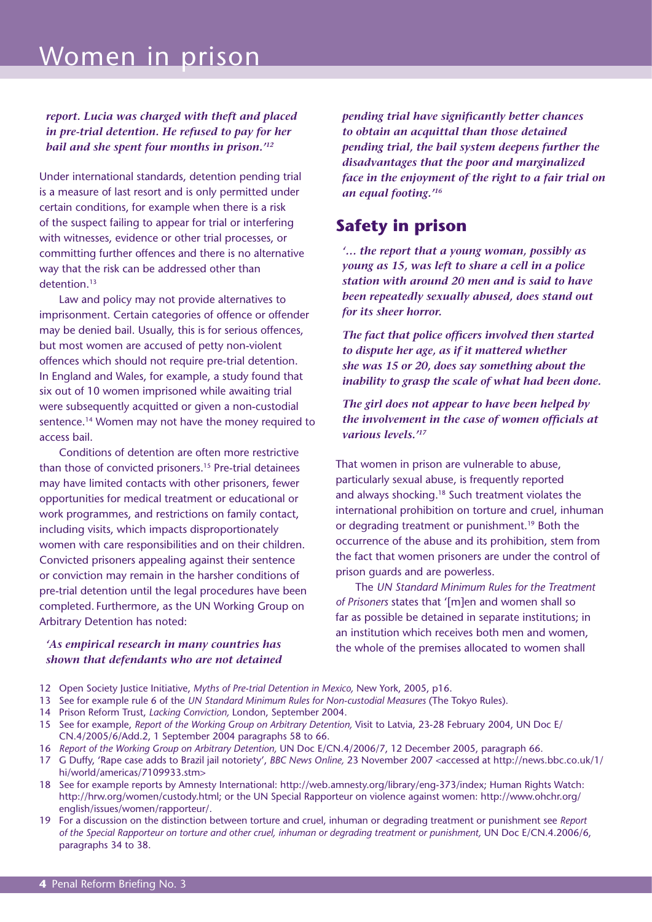#### *report. Lucia was charged with theft and placed in pre-trial detention. He refused to pay for her bail and she spent four months in prison.'12*

Under international standards, detention pending trial is a measure of last resort and is only permitted under certain conditions, for example when there is a risk of the suspect failing to appear for trial or interfering with witnesses, evidence or other trial processes, or committing further offences and there is no alternative way that the risk can be addressed other than detention.13

Law and policy may not provide alternatives to imprisonment. Certain categories of offence or offender may be denied bail. Usually, this is for serious offences, but most women are accused of petty non-violent offences which should not require pre-trial detention. In England and Wales, for example, a study found that six out of 10 women imprisoned while awaiting trial were subsequently acquitted or given a non-custodial sentence.<sup>14</sup> Women may not have the money required to access bail.

Conditions of detention are often more restrictive than those of convicted prisoners.15 Pre-trial detainees may have limited contacts with other prisoners, fewer opportunities for medical treatment or educational or work programmes, and restrictions on family contact, including visits, which impacts disproportionately women with care responsibilities and on their children. Convicted prisoners appealing against their sentence or conviction may remain in the harsher conditions of pre-trial detention until the legal procedures have been completed. Furthermore, as the UN Working Group on Arbitrary Detention has noted:

#### *'As empirical research in many countries has shown that defendants who are not detained*

*pending trial have significantly better chances to obtain an acquittal than those detained pending trial, the bail system deepens further the disadvantages that the poor and marginalized face in the enjoyment of the right to a fair trial on an equal footing.'16*

### **Safety in prison**

*'… the report that a young woman, possibly as young as 15, was left to share a cell in a police station with around 20 men and is said to have been repeatedly sexually abused, does stand out for its sheer horror.* 

*The fact that police officers involved then started to dispute her age, as if it mattered whether she was 15 or 20, does say something about the inability to grasp the scale of what had been done.* 

*The girl does not appear to have been helped by the involvement in the case of women officials at various levels.'17*

That women in prison are vulnerable to abuse, particularly sexual abuse, is frequently reported and always shocking.18 Such treatment violates the international prohibition on torture and cruel, inhuman or degrading treatment or punishment.<sup>19</sup> Both the occurrence of the abuse and its prohibition, stem from the fact that women prisoners are under the control of prison guards and are powerless.

The *UN Standard Minimum Rules for the Treatment of Prisoners* states that '[m]en and women shall so far as possible be detained in separate institutions; in an institution which receives both men and women, the whole of the premises allocated to women shall

- 12 Open Society Justice Initiative, *Myths of Pre-trial Detention in Mexico,* New York, 2005, p16.
- 13 See for example rule 6 of the *UN Standard Minimum Rules for Non-custodial Measures* (The Tokyo Rules).
- 14 Prison Reform Trust, *Lacking Conviction,* London, September 2004.
- 15 See for example, *Report of the Working Group on Arbitrary Detention,* Visit to Latvia, 23-28 February 2004, UN Doc E/ CN.4/2005/6/Add.2, 1 September 2004 paragraphs 58 to 66.
- 16 *Report of the Working Group on Arbitrary Detention,* UN Doc E/CN.4/2006/7, 12 December 2005, paragraph 66.
- 17 G Duffy, 'Rape case adds to Brazil jail notoriety', *BBC News Online,* 23 November 2007 <accessed at http://news.bbc.co.uk/1/ hi/world/americas/7109933.stm>
- 18 See for example reports by Amnesty International: http://web.amnesty.org/library/eng-373/index; Human Rights Watch: http://hrw.org/women/custody.html; or the UN Special Rapporteur on violence against women: http://www.ohchr.org/ english/issues/women/rapporteur/.
- 19 For a discussion on the distinction between torture and cruel, inhuman or degrading treatment or punishment see *Report of the Special Rapporteur on torture and other cruel, inhuman or degrading treatment or punishment,* UN Doc E/CN.4.2006/6, paragraphs 34 to 38.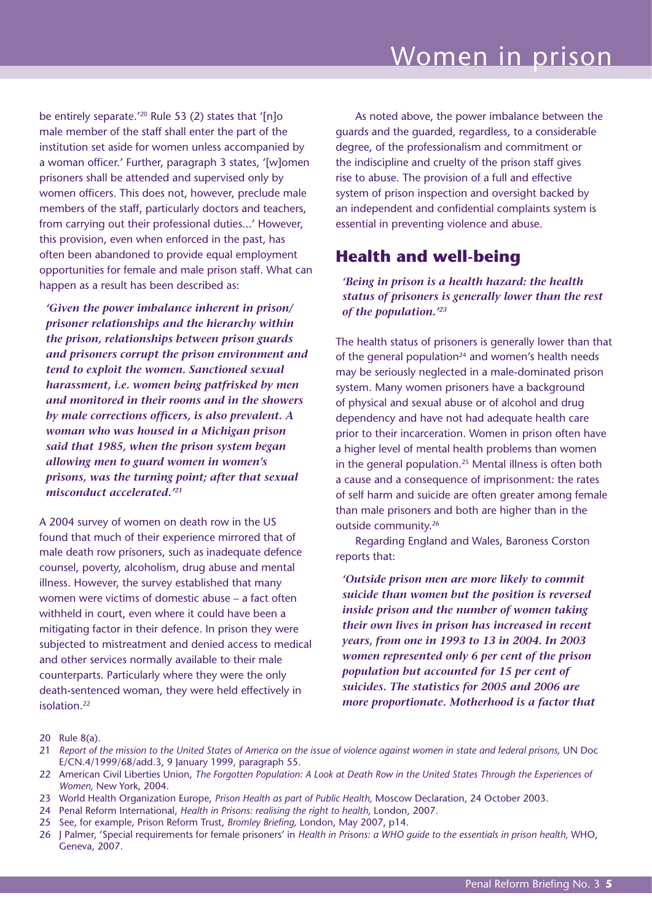be entirely separate.<sup>'20</sup> Rule 53 (2) states that '[n]o male member of the staff shall enter the part of the institution set aside for women unless accompanied by a woman officer.' Further, paragraph 3 states, '[w]omen prisoners shall be attended and supervised only by women officers. This does not, however, preclude male members of the staff, particularly doctors and teachers, from carrying out their professional duties...' However, this provision, even when enforced in the past, has often been abandoned to provide equal employment opportunities for female and male prison staff. What can happen as a result has been described as:

*'Given the power imbalance inherent in prison/ prisoner relationships and the hierarchy within the prison, relationships between prison guards and prisoners corrupt the prison environment and tend to exploit the women. Sanctioned sexual harassment, i.e. women being patfrisked by men and monitored in their rooms and in the showers by male corrections officers, is also prevalent. A woman who was housed in a Michigan prison said that 1985, when the prison system began allowing men to guard women in women's prisons, was the turning point; after that sexual misconduct accelerated.'21*

A 2004 survey of women on death row in the US found that much of their experience mirrored that of male death row prisoners, such as inadequate defence counsel, poverty, alcoholism, drug abuse and mental illness. However, the survey established that many women were victims of domestic abuse – a fact often withheld in court, even where it could have been a mitigating factor in their defence. In prison they were subjected to mistreatment and denied access to medical and other services normally available to their male counterparts. Particularly where they were the only death-sentenced woman, they were held effectively in isolation.22

As noted above, the power imbalance between the guards and the guarded, regardless, to a considerable degree, of the professionalism and commitment or the indiscipline and cruelty of the prison staff gives rise to abuse. The provision of a full and effective system of prison inspection and oversight backed by an independent and confidential complaints system is essential in preventing violence and abuse.

### **Health and well-being**

*'Being in prison is a health hazard: the health status of prisoners is generally lower than the rest of the population.'23*

The health status of prisoners is generally lower than that of the general population $24$  and women's health needs may be seriously neglected in a male-dominated prison system. Many women prisoners have a background of physical and sexual abuse or of alcohol and drug dependency and have not had adequate health care prior to their incarceration. Women in prison often have a higher level of mental health problems than women in the general population.25 Mental illness is often both a cause and a consequence of imprisonment: the rates of self harm and suicide are often greater among female than male prisoners and both are higher than in the outside community.26

Regarding England and Wales, Baroness Corston reports that:

*'Outside prison men are more likely to commit suicide than women but the position is reversed inside prison and the number of women taking their own lives in prison has increased in recent years, from one in 1993 to 13 in 2004. In 2003 women represented only 6 per cent of the prison population but accounted for 15 per cent of suicides. The statistics for 2005 and 2006 are more proportionate. Motherhood is a factor that* 

- 23 World Health Organization Europe, *Prison Health as part of Public Health,* Moscow Declaration, 24 October 2003.
- 24 Penal Reform International, *Health in Prisons: realising the right to health,* London, 2007.
- 25 See, for example, Prison Reform Trust, *Bromley Briefing,* London, May 2007, p14.

<sup>20</sup> Rule 8(a).

<sup>21</sup> *Report of the mission to the United States of America on the issue of violence against women in state and federal prisons,* UN Doc E/CN.4/1999/68/add.3, 9 January 1999, paragraph 55.

<sup>22</sup> American Civil Liberties Union, *The Forgotten Population: A Look at Death Row in the United States Through the Experiences of Women,* New York, 2004.

<sup>26</sup> J Palmer, 'Special requirements for female prisoners' in *Health in Prisons: a WHO guide to the essentials in prison health,* WHO, Geneva, 2007.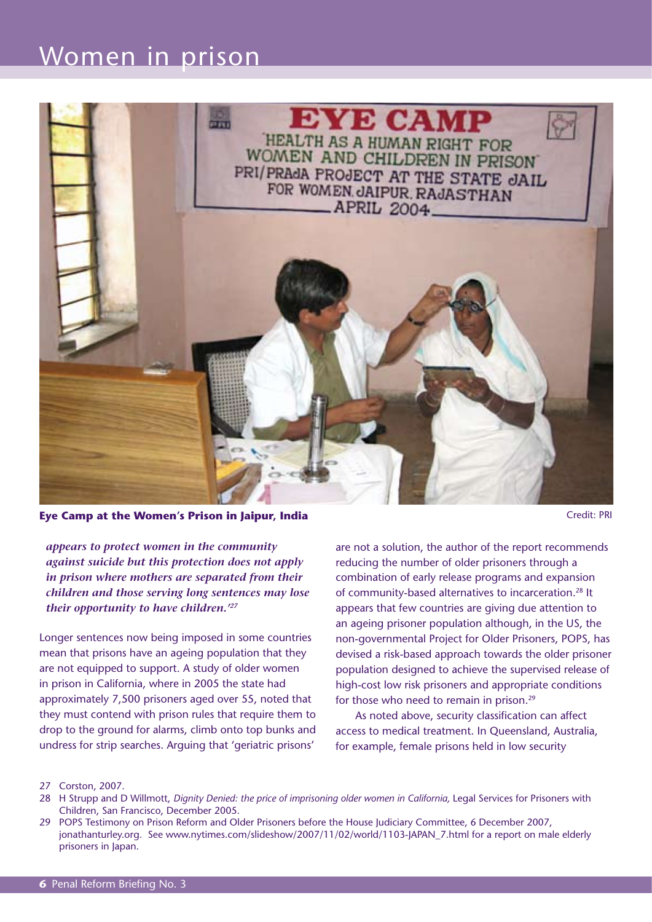

**Eye Camp at the Women's Prison in Jaipur, India Credit: PRI** Credit: PRI

*appears to protect women in the community against suicide but this protection does not apply in prison where mothers are separated from their children and those serving long sentences may lose their opportunity to have children.'27*

Longer sentences now being imposed in some countries mean that prisons have an ageing population that they are not equipped to support. A study of older women in prison in California, where in 2005 the state had approximately 7,500 prisoners aged over 55, noted that they must contend with prison rules that require them to drop to the ground for alarms, climb onto top bunks and undress for strip searches. Arguing that 'geriatric prisons'

are not a solution, the author of the report recommends reducing the number of older prisoners through a combination of early release programs and expansion of community-based alternatives to incarceration.28 It appears that few countries are giving due attention to an ageing prisoner population although, in the US, the non-governmental Project for Older Prisoners, POPS, has devised a risk-based approach towards the older prisoner population designed to achieve the supervised release of high-cost low risk prisoners and appropriate conditions for those who need to remain in prison.<sup>29</sup>

As noted above, security classification can affect access to medical treatment. In Queensland, Australia, for example, female prisons held in low security

- 28 H Strupp and D Willmott, *Dignity Denied: the price of imprisoning older women in California*, Legal Services for Prisoners with Children, San Francisco, December 2005.
- 29 POPS Testimony on Prison Reform and Older Prisoners before the House Judiciary Committee, 6 December 2007, jonathanturley.org. See www.nytimes.com/slideshow/2007/11/02/world/1103-JAPAN\_7.html for a report on male elderly prisoners in Japan.

<sup>27</sup> Corston, 2007.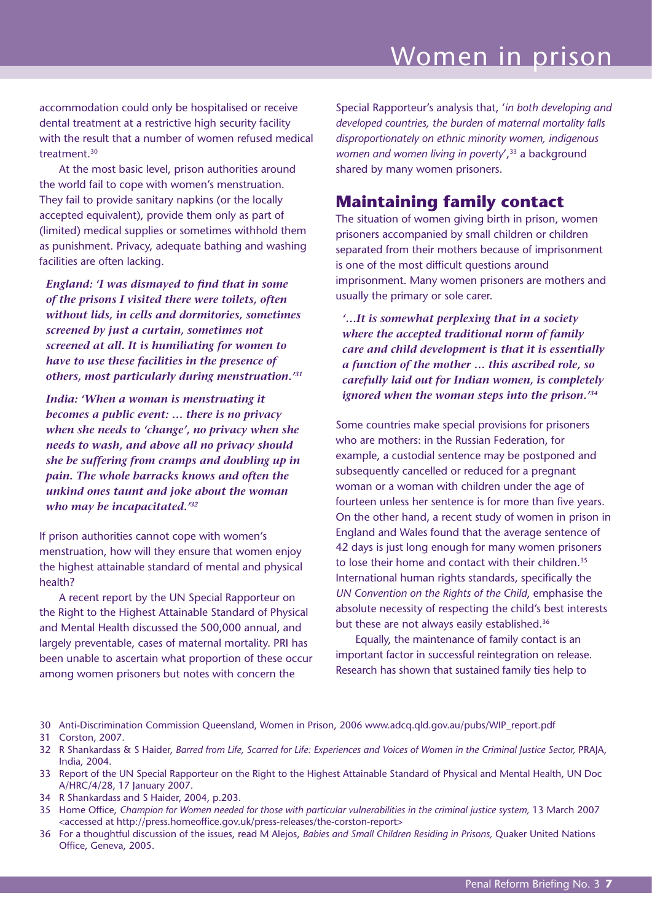accommodation could only be hospitalised or receive dental treatment at a restrictive high security facility with the result that a number of women refused medical treatment.<sup>30</sup>

At the most basic level, prison authorities around the world fail to cope with women's menstruation. They fail to provide sanitary napkins (or the locally accepted equivalent), provide them only as part of (limited) medical supplies or sometimes withhold them as punishment. Privacy, adequate bathing and washing facilities are often lacking.

*England: 'I was dismayed to find that in some of the prisons I visited there were toilets, often without lids, in cells and dormitories, sometimes screened by just a curtain, sometimes not screened at all. It is humiliating for women to have to use these facilities in the presence of others, most particularly during menstruation.'31*

*India: 'When a woman is menstruating it becomes a public event: … there is no privacy when she needs to 'change', no privacy when she needs to wash, and above all no privacy should she be suffering from cramps and doubling up in pain. The whole barracks knows and often the unkind ones taunt and joke about the woman who may be incapacitated.'32*

If prison authorities cannot cope with women's menstruation, how will they ensure that women enjoy the highest attainable standard of mental and physical health?

A recent report by the UN Special Rapporteur on the Right to the Highest Attainable Standard of Physical and Mental Health discussed the 500,000 annual, and largely preventable, cases of maternal mortality. PRI has been unable to ascertain what proportion of these occur among women prisoners but notes with concern the

Special Rapporteur's analysis that, '*in both developing and developed countries, the burden of maternal mortality falls disproportionately on ethnic minority women, indigenous*  women and women living in poverty',<sup>33</sup> a background shared by many women prisoners.

### **Maintaining family contact**

The situation of women giving birth in prison, women prisoners accompanied by small children or children separated from their mothers because of imprisonment is one of the most difficult questions around imprisonment. Many women prisoners are mothers and usually the primary or sole carer.

*'…It is somewhat perplexing that in a society where the accepted traditional norm of family care and child development is that it is essentially a function of the mother … this ascribed role, so carefully laid out for Indian women, is completely ignored when the woman steps into the prison.'34*

Some countries make special provisions for prisoners who are mothers: in the Russian Federation, for example, a custodial sentence may be postponed and subsequently cancelled or reduced for a pregnant woman or a woman with children under the age of fourteen unless her sentence is for more than five years. On the other hand, a recent study of women in prison in England and Wales found that the average sentence of 42 days is just long enough for many women prisoners to lose their home and contact with their children.<sup>35</sup> International human rights standards, specifically the *UN Convention on the Rights of the Child*, emphasise the absolute necessity of respecting the child's best interests but these are not always easily established.<sup>36</sup>

Equally, the maintenance of family contact is an important factor in successful reintegration on release. Research has shown that sustained family ties help to

- 33 Report of the UN Special Rapporteur on the Right to the Highest Attainable Standard of Physical and Mental Health, UN Doc A/HRC/4/28, 17 January 2007.
- 34 R Shankardass and S Haider, 2004, p.203.
- 35 Home Office, *Champion for Women needed for those with particular vulnerabilities in the criminal justice system,* 13 March 2007 <accessed at http://press.homeoffice.gov.uk/press-releases/the-corston-report>
- 36 For a thoughtful discussion of the issues, read M Alejos, *Babies and Small Children Residing in Prisons,* Quaker United Nations Office, Geneva, 2005.

<sup>30</sup> Anti-Discrimination Commission Queensland, Women in Prison, 2006 www.adcq.qld.gov.au/pubs/WIP\_report.pdf

<sup>31</sup> Corston, 2007.

<sup>32</sup> R Shankardass & S Haider, *Barred from Life, Scarred for Life: Experiences and Voices of Women in the Criminal Justice Sector,* PRAJA, India, 2004.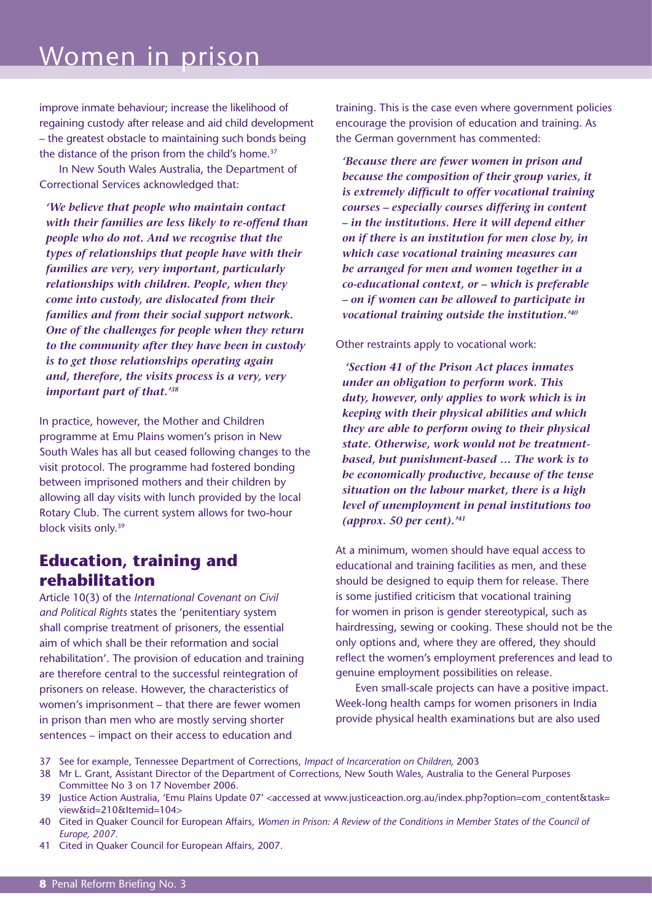improve inmate behaviour; increase the likelihood of regaining custody after release and aid child development – the greatest obstacle to maintaining such bonds being the distance of the prison from the child's home.<sup>37</sup>

In New South Wales Australia, the Department of Correctional Services acknowledged that:

*'We believe that people who maintain contact with their families are less likely to re-offend than people who do not. And we recognise that the types of relationships that people have with their families are very, very important, particularly relationships with children. People, when they come into custody, are dislocated from their families and from their social support network. One of the challenges for people when they return to the community after they have been in custody is to get those relationships operating again and, therefore, the visits process is a very, very important part of that.'38*

In practice, however, the Mother and Children programme at Emu Plains women's prison in New South Wales has all but ceased following changes to the visit protocol. The programme had fostered bonding between imprisoned mothers and their children by allowing all day visits with lunch provided by the local Rotary Club. The current system allows for two-hour block visits only.39

### **Education, training and rehabilitation**

Article 10(3) of the *International Covenant on Civil and Political Rights* states the 'penitentiary system shall comprise treatment of prisoners, the essential aim of which shall be their reformation and social rehabilitation'. The provision of education and training are therefore central to the successful reintegration of prisoners on release. However, the characteristics of women's imprisonment – that there are fewer women in prison than men who are mostly serving shorter sentences – impact on their access to education and

training. This is the case even where government policies encourage the provision of education and training. As the German government has commented:

*'Because there are fewer women in prison and because the composition of their group varies, it is extremely difficult to offer vocational training courses – especially courses differing in content – in the institutions. Here it will depend either on if there is an institution for men close by, in which case vocational training measures can be arranged for men and women together in a co-educational context, or – which is preferable – on if women can be allowed to participate in vocational training outside the institution.'40*

#### Other restraints apply to vocational work:

 *'Section 41 of the Prison Act places inmates under an obligation to perform work. This duty, however, only applies to work which is in keeping with their physical abilities and which they are able to perform owing to their physical state. Otherwise, work would not be treatmentbased, but punishment-based … The work is to be economically productive, because of the tense situation on the labour market, there is a high level of unemployment in penal institutions too (approx. 50 per cent).'41*

At a minimum, women should have equal access to educational and training facilities as men, and these should be designed to equip them for release. There is some justified criticism that vocational training for women in prison is gender stereotypical, such as hairdressing, sewing or cooking. These should not be the only options and, where they are offered, they should reflect the women's employment preferences and lead to genuine employment possibilities on release.

Even small-scale projects can have a positive impact. Week-long health camps for women prisoners in India provide physical health examinations but are also used

- 37 See for example, Tennessee Department of Corrections, *Impact of Incarceration on Children,* 2003
- 38 Mr L. Grant, Assistant Director of the Department of Corrections, New South Wales, Australia to the General Purposes Committee No 3 on 17 November 2006.
- 39 Justice Action Australia, 'Emu Plains Update 07' <accessed at www.justiceaction.org.au/index.php?option=com\_content&task= view&id=210&Itemid=104>
- 40 Cited in Quaker Council for European Affairs, *Women in Prison: A Review of the Conditions in Member States of the Council of Europe, 2007.*
- 41 Cited in Quaker Council for European Affairs, 2007.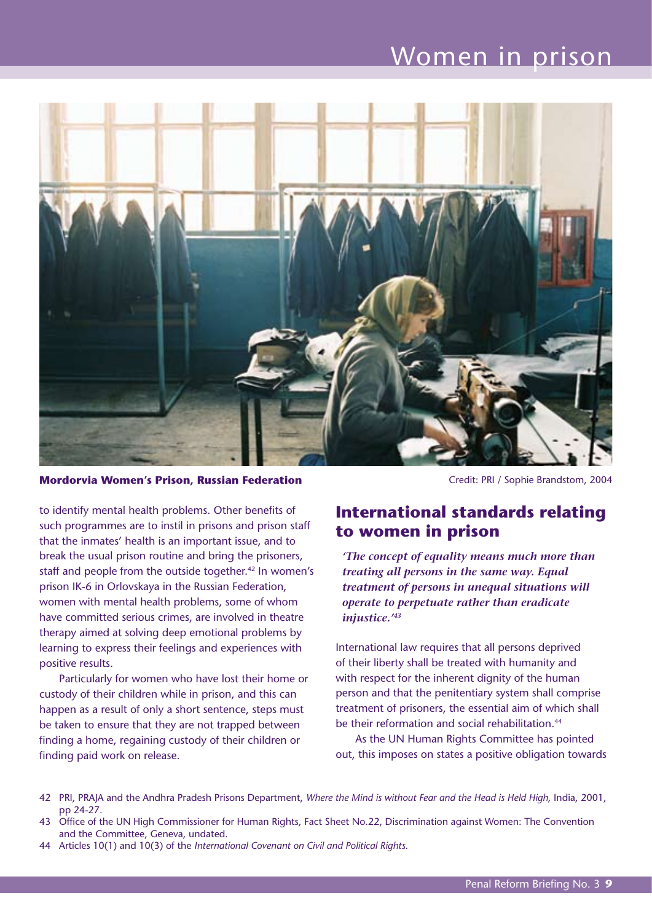

**Mordorvia Women's Prison, Russian Federation** Camellel Credit: PRI / Sophie Brandstom, 2004

to identify mental health problems. Other benefits of such programmes are to instil in prisons and prison staff that the inmates' health is an important issue, and to break the usual prison routine and bring the prisoners, staff and people from the outside together.<sup>42</sup> In women's prison IK-6 in Orlovskaya in the Russian Federation, women with mental health problems, some of whom have committed serious crimes, are involved in theatre therapy aimed at solving deep emotional problems by learning to express their feelings and experiences with positive results.

Particularly for women who have lost their home or custody of their children while in prison, and this can happen as a result of only a short sentence, steps must be taken to ensure that they are not trapped between finding a home, regaining custody of their children or finding paid work on release.

## **International standards relating to women in prison**

*'The concept of equality means much more than treating all persons in the same way. Equal treatment of persons in unequal situations will operate to perpetuate rather than eradicate injustice.'43*

International law requires that all persons deprived of their liberty shall be treated with humanity and with respect for the inherent dignity of the human person and that the penitentiary system shall comprise treatment of prisoners, the essential aim of which shall be their reformation and social rehabilitation.<sup>44</sup>

As the UN Human Rights Committee has pointed out, this imposes on states a positive obligation towards

- 42 PRI, PRAJA and the Andhra Pradesh Prisons Department, *Where the Mind is without Fear and the Head is Held High,* India, 2001, pp 24-27.
- 43 Office of the UN High Commissioner for Human Rights, Fact Sheet No.22, Discrimination against Women: The Convention and the Committee, Geneva, undated.
- 44 Articles 10(1) and 10(3) of the *International Covenant on Civil and Political Rights.*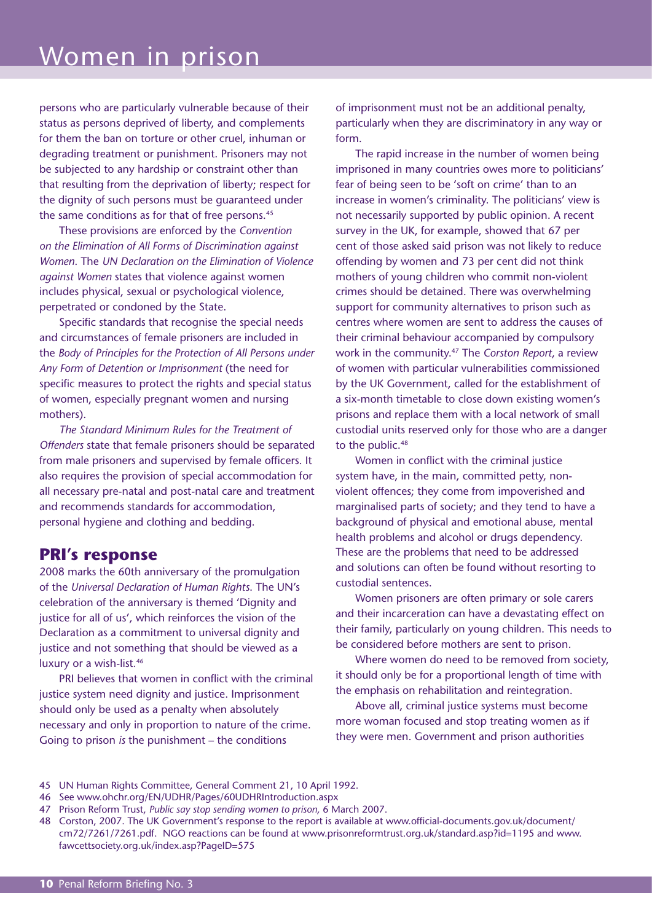persons who are particularly vulnerable because of their status as persons deprived of liberty, and complements for them the ban on torture or other cruel, inhuman or degrading treatment or punishment. Prisoners may not be subjected to any hardship or constraint other than that resulting from the deprivation of liberty; respect for the dignity of such persons must be guaranteed under the same conditions as for that of free persons.<sup>45</sup>

These provisions are enforced by the *Convention on the Elimination of All Forms of Discrimination against Women*. The *UN Declaration on the Elimination of Violence against Women* states that violence against women includes physical, sexual or psychological violence, perpetrated or condoned by the State.

Specific standards that recognise the special needs and circumstances of female prisoners are included in the *Body of Principles for the Protection of All Persons under Any Form of Detention or Imprisonment* (the need for specific measures to protect the rights and special status of women, especially pregnant women and nursing mothers).

*The Standard Minimum Rules for the Treatment of Offenders* state that female prisoners should be separated from male prisoners and supervised by female officers. It also requires the provision of special accommodation for all necessary pre-natal and post-natal care and treatment and recommends standards for accommodation, personal hygiene and clothing and bedding.

#### **PRI's response**

2008 marks the 60th anniversary of the promulgation of the *Universal Declaration of Human Rights*. The UN's celebration of the anniversary is themed 'Dignity and justice for all of us', which reinforces the vision of the Declaration as a commitment to universal dignity and justice and not something that should be viewed as a luxury or a wish-list*.* 46

PRI believes that women in conflict with the criminal justice system need dignity and justice. Imprisonment should only be used as a penalty when absolutely necessary and only in proportion to nature of the crime. Going to prison *is* the punishment – the conditions

of imprisonment must not be an additional penalty, particularly when they are discriminatory in any way or form.

The rapid increase in the number of women being imprisoned in many countries owes more to politicians' fear of being seen to be 'soft on crime' than to an increase in women's criminality. The politicians' view is not necessarily supported by public opinion. A recent survey in the UK, for example, showed that 67 per cent of those asked said prison was not likely to reduce offending by women and 73 per cent did not think mothers of young children who commit non-violent crimes should be detained. There was overwhelming support for community alternatives to prison such as centres where women are sent to address the causes of their criminal behaviour accompanied by compulsory work in the community.47 The *Corston Report*, a review of women with particular vulnerabilities commissioned by the UK Government, called for the establishment of a six-month timetable to close down existing women's prisons and replace them with a local network of small custodial units reserved only for those who are a danger to the public.<sup>48</sup>

Women in conflict with the criminal justice system have, in the main, committed petty, nonviolent offences; they come from impoverished and marginalised parts of society; and they tend to have a background of physical and emotional abuse, mental health problems and alcohol or drugs dependency. These are the problems that need to be addressed and solutions can often be found without resorting to custodial sentences.

Women prisoners are often primary or sole carers and their incarceration can have a devastating effect on their family, particularly on young children. This needs to be considered before mothers are sent to prison.

Where women do need to be removed from society, it should only be for a proportional length of time with the emphasis on rehabilitation and reintegration.

Above all, criminal justice systems must become more woman focused and stop treating women as if they were men. Government and prison authorities

48 Corston, 2007. The UK Government's response to the report is available at www.official-documents.gov.uk/document/ cm72/7261/7261.pdf. NGO reactions can be found at www.prisonreformtrust.org.uk/standard.asp?id=1195 and www. fawcettsociety.org.uk/index.asp?PageID=575

<sup>45</sup> UN Human Rights Committee, General Comment 21, 10 April 1992.

<sup>46</sup> See www.ohchr.org/EN/UDHR/Pages/60UDHRIntroduction.aspx

<sup>47</sup> Prison Reform Trust, *Public say stop sending women to prison,* 6 March 2007.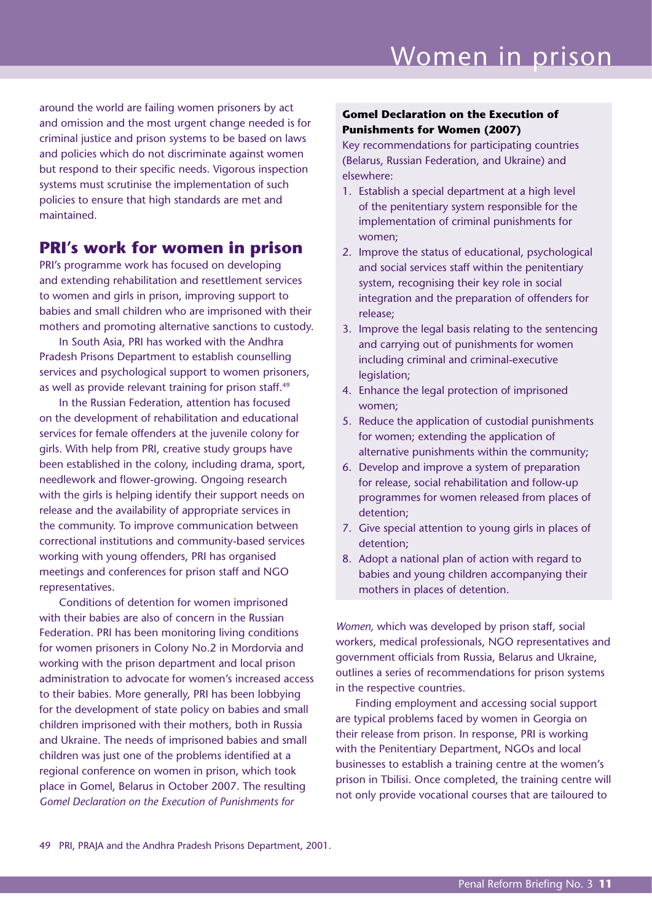around the world are failing women prisoners by act and omission and the most urgent change needed is for criminal justice and prison systems to be based on laws and policies which do not discriminate against women but respond to their specific needs. Vigorous inspection systems must scrutinise the implementation of such policies to ensure that high standards are met and maintained.

### **PRI's work for women in prison**

PRI's programme work has focused on developing and extending rehabilitation and resettlement services to women and girls in prison, improving support to babies and small children who are imprisoned with their mothers and promoting alternative sanctions to custody.

In South Asia, PRI has worked with the Andhra Pradesh Prisons Department to establish counselling services and psychological support to women prisoners, as well as provide relevant training for prison staff.<sup>49</sup>

In the Russian Federation, attention has focused on the development of rehabilitation and educational services for female offenders at the juvenile colony for girls. With help from PRI, creative study groups have been established in the colony, including drama, sport, needlework and flower-growing. Ongoing research with the girls is helping identify their support needs on release and the availability of appropriate services in the community. To improve communication between correctional institutions and community-based services working with young offenders, PRI has organised meetings and conferences for prison staff and NGO representatives.

Conditions of detention for women imprisoned with their babies are also of concern in the Russian Federation. PRI has been monitoring living conditions for women prisoners in Colony No.2 in Mordorvia and working with the prison department and local prison administration to advocate for women's increased access to their babies. More generally, PRI has been lobbying for the development of state policy on babies and small children imprisoned with their mothers, both in Russia and Ukraine. The needs of imprisoned babies and small children was just one of the problems identified at a regional conference on women in prison, which took place in Gomel, Belarus in October 2007. The resulting *Gomel Declaration on the Execution of Punishments for* 

#### **Gomel Declaration on the Execution of Punishments for Women (2007)**

Key recommendations for participating countries (Belarus, Russian Federation, and Ukraine) and elsewhere:

- 1. Establish a special department at a high level of the penitentiary system responsible for the implementation of criminal punishments for women;
- 2. Improve the status of educational, psychological and social services staff within the penitentiary system, recognising their key role in social integration and the preparation of offenders for release;
- 3. Improve the legal basis relating to the sentencing and carrying out of punishments for women including criminal and criminal-executive legislation:
- 4. Enhance the legal protection of imprisoned women;
- 5. Reduce the application of custodial punishments for women; extending the application of alternative punishments within the community;
- 6. Develop and improve a system of preparation for release, social rehabilitation and follow-up programmes for women released from places of detention;
- 7. Give special attention to young girls in places of detention;
- 8. Adopt a national plan of action with regard to babies and young children accompanying their mothers in places of detention.

*Women,* which was developed by prison staff, social workers, medical professionals, NGO representatives and government officials from Russia, Belarus and Ukraine, outlines a series of recommendations for prison systems in the respective countries.

Finding employment and accessing social support are typical problems faced by women in Georgia on their release from prison. In response, PRI is working with the Penitentiary Department, NGOs and local businesses to establish a training centre at the women's prison in Tbilisi. Once completed, the training centre will not only provide vocational courses that are tailoured to

49 PRI, PRAJA and the Andhra Pradesh Prisons Department, 2001.